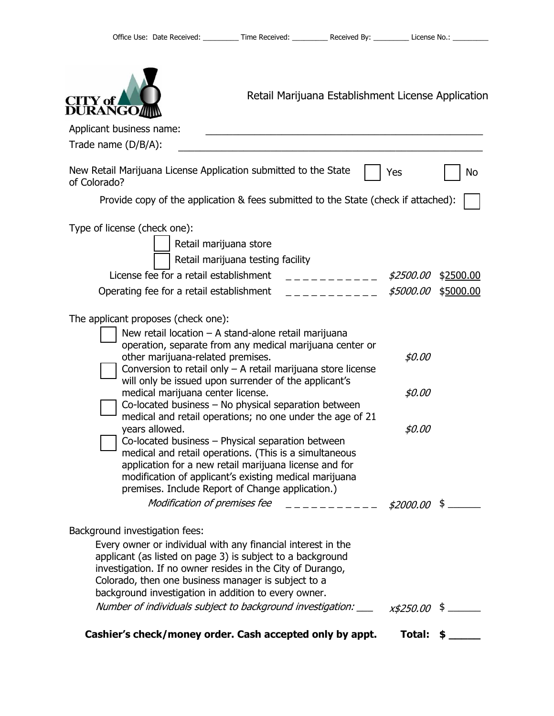| Retail Marijuana Establishment License Application<br><b>CITY</b> of<br><b>DURANGO</b>                                                                                                                                                                                                                                                                                                                                                                                                                                                                                                                                                                                                                                                                                                                                                                               |                            |           |
|----------------------------------------------------------------------------------------------------------------------------------------------------------------------------------------------------------------------------------------------------------------------------------------------------------------------------------------------------------------------------------------------------------------------------------------------------------------------------------------------------------------------------------------------------------------------------------------------------------------------------------------------------------------------------------------------------------------------------------------------------------------------------------------------------------------------------------------------------------------------|----------------------------|-----------|
| Applicant business name:                                                                                                                                                                                                                                                                                                                                                                                                                                                                                                                                                                                                                                                                                                                                                                                                                                             |                            |           |
| Trade name (D/B/A):                                                                                                                                                                                                                                                                                                                                                                                                                                                                                                                                                                                                                                                                                                                                                                                                                                                  |                            |           |
| New Retail Marijuana License Application submitted to the State<br>of Colorado?                                                                                                                                                                                                                                                                                                                                                                                                                                                                                                                                                                                                                                                                                                                                                                                      | Yes                        | No        |
| Provide copy of the application & fees submitted to the State (check if attached):                                                                                                                                                                                                                                                                                                                                                                                                                                                                                                                                                                                                                                                                                                                                                                                   |                            |           |
| Type of license (check one):<br>Retail marijuana store<br>Retail marijuana testing facility                                                                                                                                                                                                                                                                                                                                                                                                                                                                                                                                                                                                                                                                                                                                                                          |                            |           |
| License fee for a retail establishment<br>___________                                                                                                                                                                                                                                                                                                                                                                                                                                                                                                                                                                                                                                                                                                                                                                                                                | <i>\$2500.00</i>           | \$2500.00 |
| Operating fee for a retail establishment<br>----------                                                                                                                                                                                                                                                                                                                                                                                                                                                                                                                                                                                                                                                                                                                                                                                                               | \$5000.00                  | \$5000.00 |
| The applicant proposes (check one):<br>New retail location - A stand-alone retail marijuana<br>operation, separate from any medical marijuana center or<br>other marijuana-related premises.<br>Conversion to retail only $-$ A retail marijuana store license<br>will only be issued upon surrender of the applicant's<br>medical marijuana center license.<br>Co-located business - No physical separation between<br>medical and retail operations; no one under the age of 21<br>years allowed.<br>Co-located business - Physical separation between<br>medical and retail operations. (This is a simultaneous<br>application for a new retail marijuana license and for<br>modification of applicant's existing medical marijuana<br>premises. Include Report of Change application.)<br>Modification of premises fee $\qquad$ _ _ _ _ _ _ _ _ _ _ \$2000.00 \$ | \$0.00<br>\$0.00<br>\$0.00 |           |
| Background investigation fees:<br>Every owner or individual with any financial interest in the<br>applicant (as listed on page 3) is subject to a background<br>investigation. If no owner resides in the City of Durango,<br>Colorado, then one business manager is subject to a<br>background investigation in addition to every owner.                                                                                                                                                                                                                                                                                                                                                                                                                                                                                                                            |                            |           |
| Number of individuals subject to background investigation: $\frac{x}{5250.00}$ \$                                                                                                                                                                                                                                                                                                                                                                                                                                                                                                                                                                                                                                                                                                                                                                                    |                            |           |
| Cashier's check/money order. Cash accepted only by appt.                                                                                                                                                                                                                                                                                                                                                                                                                                                                                                                                                                                                                                                                                                                                                                                                             | Total: $$$                 |           |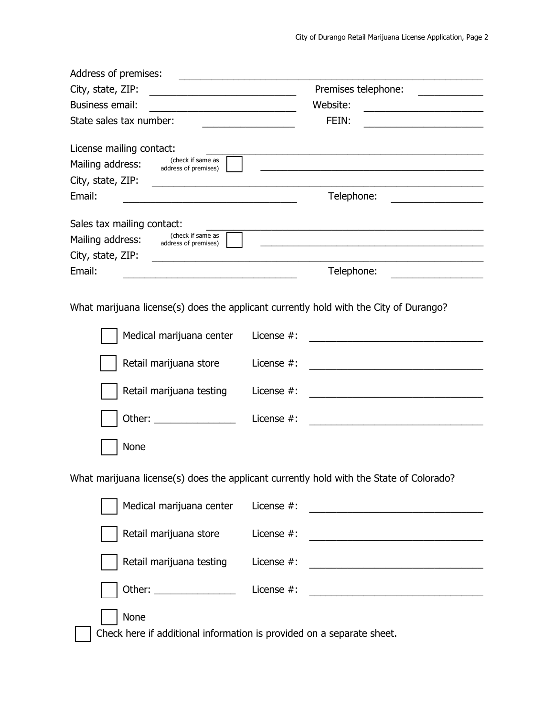| Address of premises:                                                                                                                            | <u> 1989 - Johann Barbara, martin amerikan basar dan berasal dalam basa dalam basar dalam basar dalam basar dala</u>                |
|-------------------------------------------------------------------------------------------------------------------------------------------------|-------------------------------------------------------------------------------------------------------------------------------------|
| City, state, ZIP:                                                                                                                               | Premises telephone:                                                                                                                 |
| <b>Business email:</b><br><u> 1989 - Johann Barn, mars ann an t-Amhain an t-Amhain an t-Amhain an t-Amhain an t-Amhain an t-Amhain an t-Amh</u> | Website:<br><u> 1989 - Johann Barbara, martxa alemaniar a</u>                                                                       |
| State sales tax number:                                                                                                                         | FEIN:<br>the control of the control of the control of                                                                               |
| License mailing contact:<br>(check if same as<br>Mailing address:                                                                               |                                                                                                                                     |
| address of premises)<br>City, state, ZIP:                                                                                                       |                                                                                                                                     |
| Email:                                                                                                                                          | Telephone:                                                                                                                          |
|                                                                                                                                                 |                                                                                                                                     |
| Sales tax mailing contact:<br>(check if same as<br>Mailing address:<br>address of premises)                                                     | <u> 1980 - Johann John Stein, markin fizik eta idazlea (h. 1980).</u>                                                               |
| City, state, ZIP:                                                                                                                               |                                                                                                                                     |
| Email:                                                                                                                                          | Telephone:                                                                                                                          |
|                                                                                                                                                 | What marijuana license(s) does the applicant currently hold with the City of Durango?                                               |
| Medical marijuana center                                                                                                                        | License $#$ :                                                                                                                       |
| Retail marijuana store                                                                                                                          | License #:                                                                                                                          |
| Retail marijuana testing                                                                                                                        | License $#$ :                                                                                                                       |
| Other:                                                                                                                                          | License #:                                                                                                                          |
| None                                                                                                                                            |                                                                                                                                     |
|                                                                                                                                                 | What marijuana license(s) does the applicant currently hold with the State of Colorado?                                             |
| Medical marijuana center                                                                                                                        | License #:<br><u> 1989 - Johann Stein, markazin bashkar (</u>                                                                       |
| Retail marijuana store                                                                                                                          | License #:<br><u> 2000 - Jan James James Barnett, martin de la provincia de la provincia de la provincia de la provincia de la</u>  |
| Retail marijuana testing                                                                                                                        | License #:<br><u> 1989 - Johann Harry Harry Harry Harry Harry Harry Harry Harry Harry Harry Harry Harry Harry Harry Harry Harry</u> |
|                                                                                                                                                 | License #:                                                                                                                          |
| None                                                                                                                                            |                                                                                                                                     |
|                                                                                                                                                 | Check here if additional information is provided on a separate sheet.                                                               |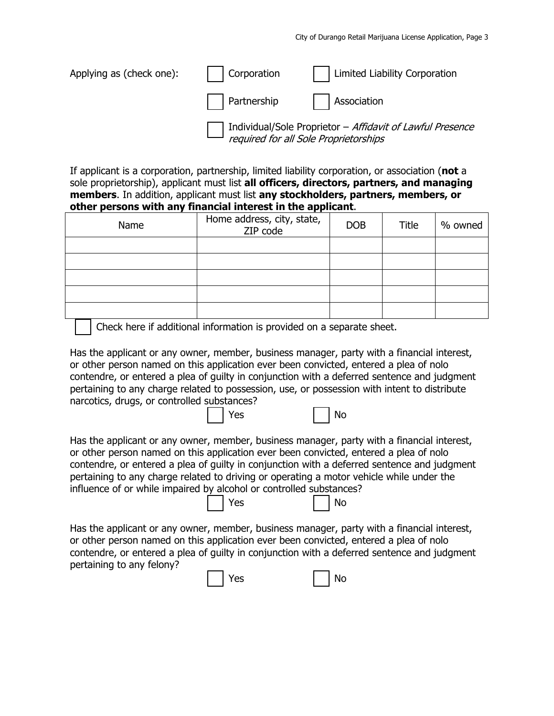| Applying as (check one): | Corporation | Limited Liability Corporation                                                                      |
|--------------------------|-------------|----------------------------------------------------------------------------------------------------|
|                          |             | Partnership   Association                                                                          |
|                          |             | Individual/Sole Proprietor - Affidavit of Lawful Presence<br>required for all Sole Proprietorships |

If applicant is a corporation, partnership, limited liability corporation, or association (**not** a sole proprietorship), applicant must list **all officers, directors, partners, and managing members**. In addition, applicant must list **any stockholders, partners, members, or other persons with any financial interest in the applicant**.

| Name | Home address, city, state,<br>ZIP code | <b>DOB</b> | Title | % owned |
|------|----------------------------------------|------------|-------|---------|
|      |                                        |            |       |         |
|      |                                        |            |       |         |
|      |                                        |            |       |         |
|      |                                        |            |       |         |
|      |                                        |            |       |         |

Check here if additional information is provided on a separate sheet.

**No. 19 No. 2018 No. 2019 No. 2019** No. 2019

**No. 19 No. 2018 No. 2019 No. 2019 No. 2019** No. 2019 No. 2019 No. 2019 No. 2019 No. 2019 No. 2019 No. 2019 No. 2019

Has the applicant or any owner, member, business manager, party with a financial interest, or other person named on this application ever been convicted, entered a plea of nolo contendre, or entered a plea of guilty in conjunction with a deferred sentence and judgment pertaining to any charge related to possession, use, or possession with intent to distribute narcotics, drugs, or controlled substances?

Has the applicant or any owner, member, business manager, party with a financial interest, or other person named on this application ever been convicted, entered a plea of nolo contendre, or entered a plea of guilty in conjunction with a deferred sentence and judgment pertaining to any charge related to driving or operating a motor vehicle while under the influence of or while impaired by alcohol or controlled substances?

Has the applicant or any owner, member, business manager, party with a financial interest, or other person named on this application ever been convicted, entered a plea of nolo contendre, or entered a plea of guilty in conjunction with a deferred sentence and judgment pertaining to any felony?

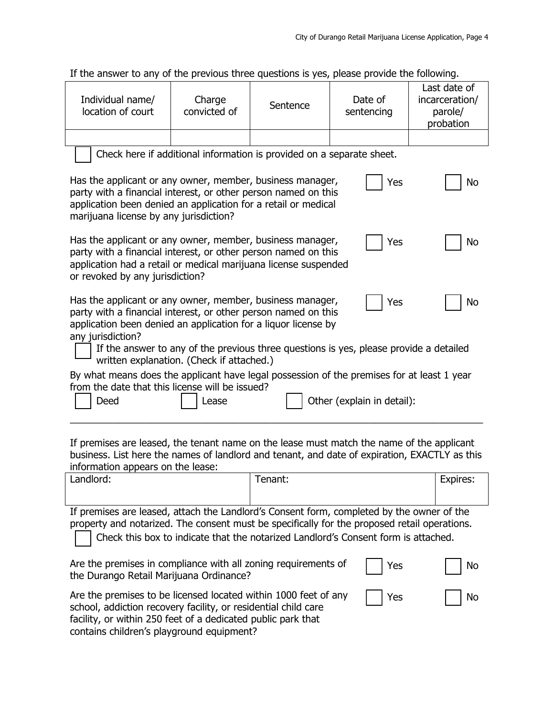If the answer to any of the previous three questions is yes, please provide the following.

| If the answer to any of the previous three questions is yes, please provide the following.                                                                                                                                                                                                                                                                             |                                                                                                                                                                                                                                                      |          |                       |                                                        |
|------------------------------------------------------------------------------------------------------------------------------------------------------------------------------------------------------------------------------------------------------------------------------------------------------------------------------------------------------------------------|------------------------------------------------------------------------------------------------------------------------------------------------------------------------------------------------------------------------------------------------------|----------|-----------------------|--------------------------------------------------------|
| Individual name/<br>location of court                                                                                                                                                                                                                                                                                                                                  | Charge<br>convicted of                                                                                                                                                                                                                               | Sentence | Date of<br>sentencing | Last date of<br>incarceration/<br>parole/<br>probation |
|                                                                                                                                                                                                                                                                                                                                                                        |                                                                                                                                                                                                                                                      |          |                       |                                                        |
|                                                                                                                                                                                                                                                                                                                                                                        | Check here if additional information is provided on a separate sheet.                                                                                                                                                                                |          |                       |                                                        |
|                                                                                                                                                                                                                                                                                                                                                                        | Has the applicant or any owner, member, business manager,<br>Yes<br>No<br>party with a financial interest, or other person named on this<br>application been denied an application for a retail or medical<br>marijuana license by any jurisdiction? |          |                       |                                                        |
|                                                                                                                                                                                                                                                                                                                                                                        | Has the applicant or any owner, member, business manager,<br>Yes<br>No<br>party with a financial interest, or other person named on this<br>application had a retail or medical marijuana license suspended<br>or revoked by any jurisdiction?       |          |                       |                                                        |
| Has the applicant or any owner, member, business manager,<br>Yes<br>No<br>party with a financial interest, or other person named on this<br>application been denied an application for a liquor license by<br>any jurisdiction?<br>If the answer to any of the previous three questions is yes, please provide a detailed<br>written explanation. (Check if attached.) |                                                                                                                                                                                                                                                      |          |                       |                                                        |
|                                                                                                                                                                                                                                                                                                                                                                        |                                                                                                                                                                                                                                                      |          |                       |                                                        |
| By what means does the applicant have legal possession of the premises for at least 1 year<br>from the date that this license will be issued?<br>Other (explain in detail):<br>Deed<br>Lease                                                                                                                                                                           |                                                                                                                                                                                                                                                      |          |                       |                                                        |
|                                                                                                                                                                                                                                                                                                                                                                        |                                                                                                                                                                                                                                                      |          |                       |                                                        |
| If premises are leased, the tenant name on the lease must match the name of the applicant<br>business. List here the names of landlord and tenant, and date of expiration, EXACTLY as this<br>information appears on the lease:                                                                                                                                        |                                                                                                                                                                                                                                                      |          |                       |                                                        |
| Landlord:                                                                                                                                                                                                                                                                                                                                                              |                                                                                                                                                                                                                                                      | Tenant:  |                       | Expires:                                               |
| If premises are leased, attach the Landlord's Consent form, completed by the owner of the<br>property and notarized. The consent must be specifically for the proposed retail operations.<br>Check this box to indicate that the notarized Landlord's Consent form is attached.                                                                                        |                                                                                                                                                                                                                                                      |          |                       |                                                        |
| Are the premises in compliance with all zoning requirements of<br>Yes<br>No<br>the Durango Retail Marijuana Ordinance?                                                                                                                                                                                                                                                 |                                                                                                                                                                                                                                                      |          |                       |                                                        |
| Are the premises to be licensed located within 1000 feet of any<br>Yes<br>No<br>school, addiction recovery facility, or residential child care<br>facility, or within 250 feet of a dedicated public park that                                                                                                                                                         |                                                                                                                                                                                                                                                      |          |                       |                                                        |

contains children's playground equipment?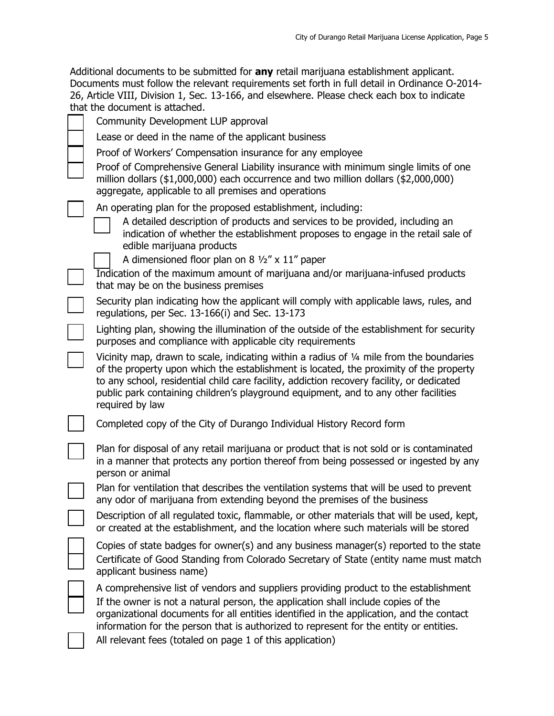| Additional documents to be submitted for any retail marijuana establishment applicant.        |
|-----------------------------------------------------------------------------------------------|
| Documents must follow the relevant requirements set forth in full detail in Ordinance O-2014- |
| 26, Article VIII, Division 1, Sec. 13-166, and elsewhere. Please check each box to indicate   |
| that the document is attached.                                                                |
| Community Development LUP approval                                                            |

| Community Development Lor approval                                                                                                                                                                                                                                                                                                                                                        |
|-------------------------------------------------------------------------------------------------------------------------------------------------------------------------------------------------------------------------------------------------------------------------------------------------------------------------------------------------------------------------------------------|
| Lease or deed in the name of the applicant business                                                                                                                                                                                                                                                                                                                                       |
| Proof of Workers' Compensation insurance for any employee                                                                                                                                                                                                                                                                                                                                 |
| Proof of Comprehensive General Liability insurance with minimum single limits of one<br>million dollars $(\$1,000,000)$ each occurrence and two million dollars $(\$2,000,000)$<br>aggregate, applicable to all premises and operations                                                                                                                                                   |
| An operating plan for the proposed establishment, including:<br>A detailed description of products and services to be provided, including an<br>indication of whether the establishment proposes to engage in the retail sale of<br>edible marijuana products<br>A dimensioned floor plan on 8 $\frac{1}{2}$ x 11" paper                                                                  |
| Indication of the maximum amount of marijuana and/or marijuana-infused products<br>that may be on the business premises                                                                                                                                                                                                                                                                   |
| Security plan indicating how the applicant will comply with applicable laws, rules, and<br>regulations, per Sec. 13-166(i) and Sec. 13-173                                                                                                                                                                                                                                                |
| Lighting plan, showing the illumination of the outside of the establishment for security<br>purposes and compliance with applicable city requirements                                                                                                                                                                                                                                     |
| Vicinity map, drawn to scale, indicating within a radius of 1/4 mile from the boundaries<br>of the property upon which the establishment is located, the proximity of the property<br>to any school, residential child care facility, addiction recovery facility, or dedicated<br>public park containing children's playground equipment, and to any other facilities<br>required by law |
| Completed copy of the City of Durango Individual History Record form                                                                                                                                                                                                                                                                                                                      |
| Plan for disposal of any retail marijuana or product that is not sold or is contaminated<br>in a manner that protects any portion thereof from being possessed or ingested by any<br>person or animal                                                                                                                                                                                     |
| Plan for ventilation that describes the ventilation systems that will be used to prevent<br>any odor of marijuana from extending beyond the premises of the business                                                                                                                                                                                                                      |
| Description of all regulated toxic, flammable, or other materials that will be used, kept,<br>or created at the establishment, and the location where such materials will be stored                                                                                                                                                                                                       |
| Copies of state badges for owner(s) and any business manager(s) reported to the state<br>Certificate of Good Standing from Colorado Secretary of State (entity name must match<br>applicant business name)                                                                                                                                                                                |
| A comprehensive list of vendors and suppliers providing product to the establishment<br>If the owner is not a natural person, the application shall include copies of the                                                                                                                                                                                                                 |

organizational documents for all entities identified in the application, and the contact information for the person that is authorized to represent for the entity or entities.